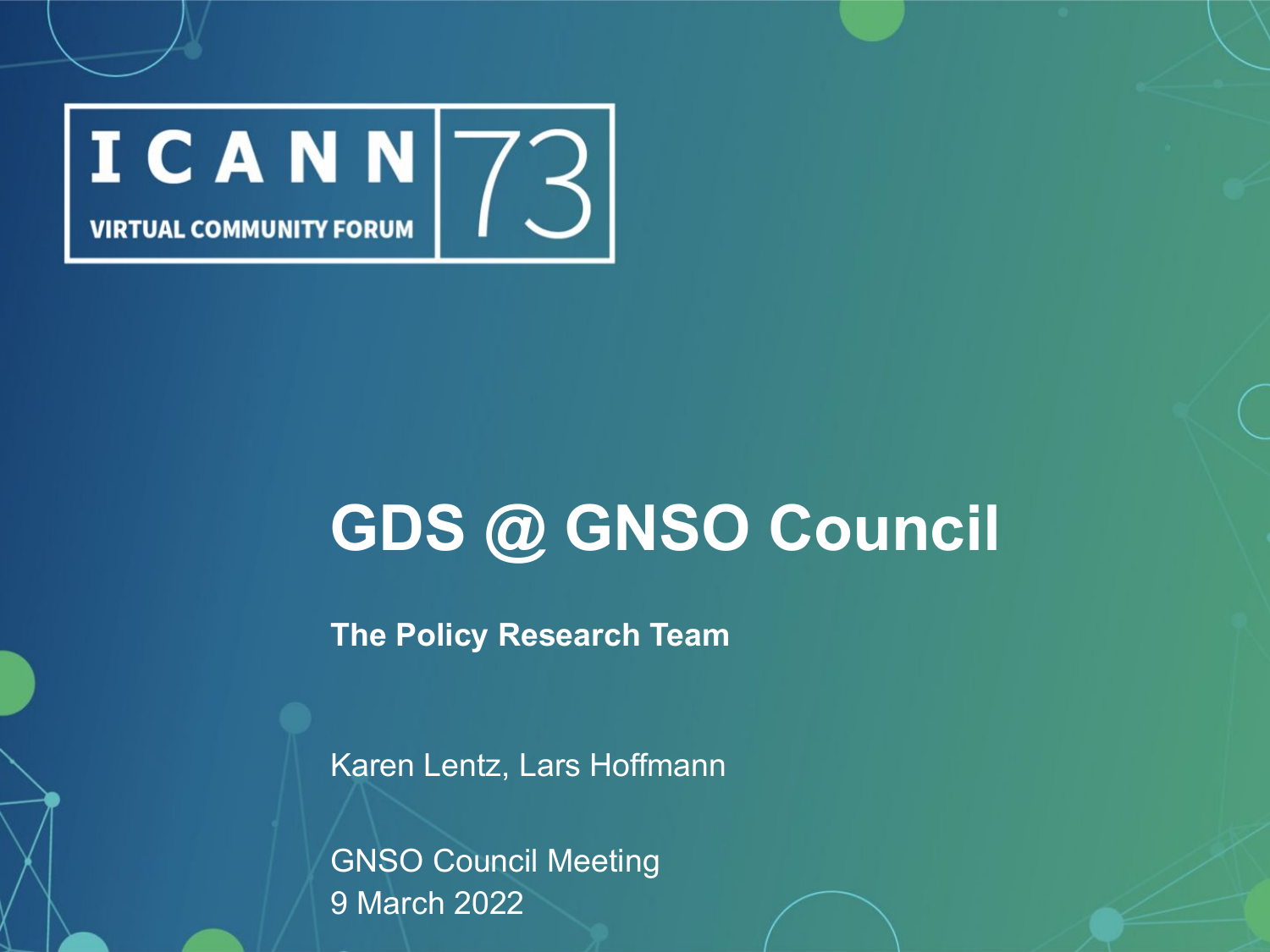

# **GDS @ GNSO Council**

 $\frac{1}{2}$ **The Policy Research Team** 

Karen Lentz, Lars Hoffmann

GNSO Council Meeting 9 March 2022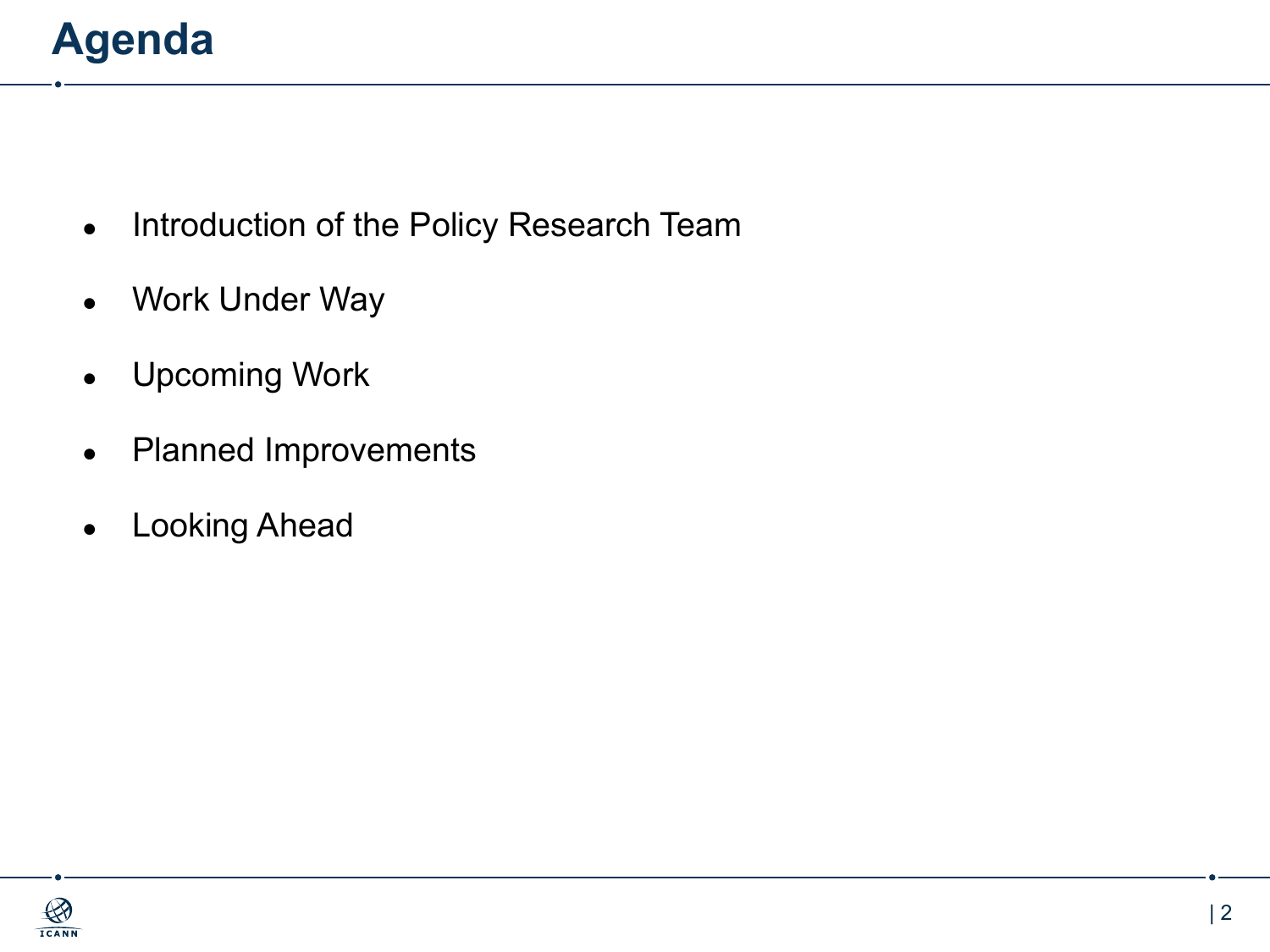## **Agenda**

- Introduction of the Policy Research Team
- Work Under Way
- Upcoming Work
- Planned Improvements
- Looking Ahead

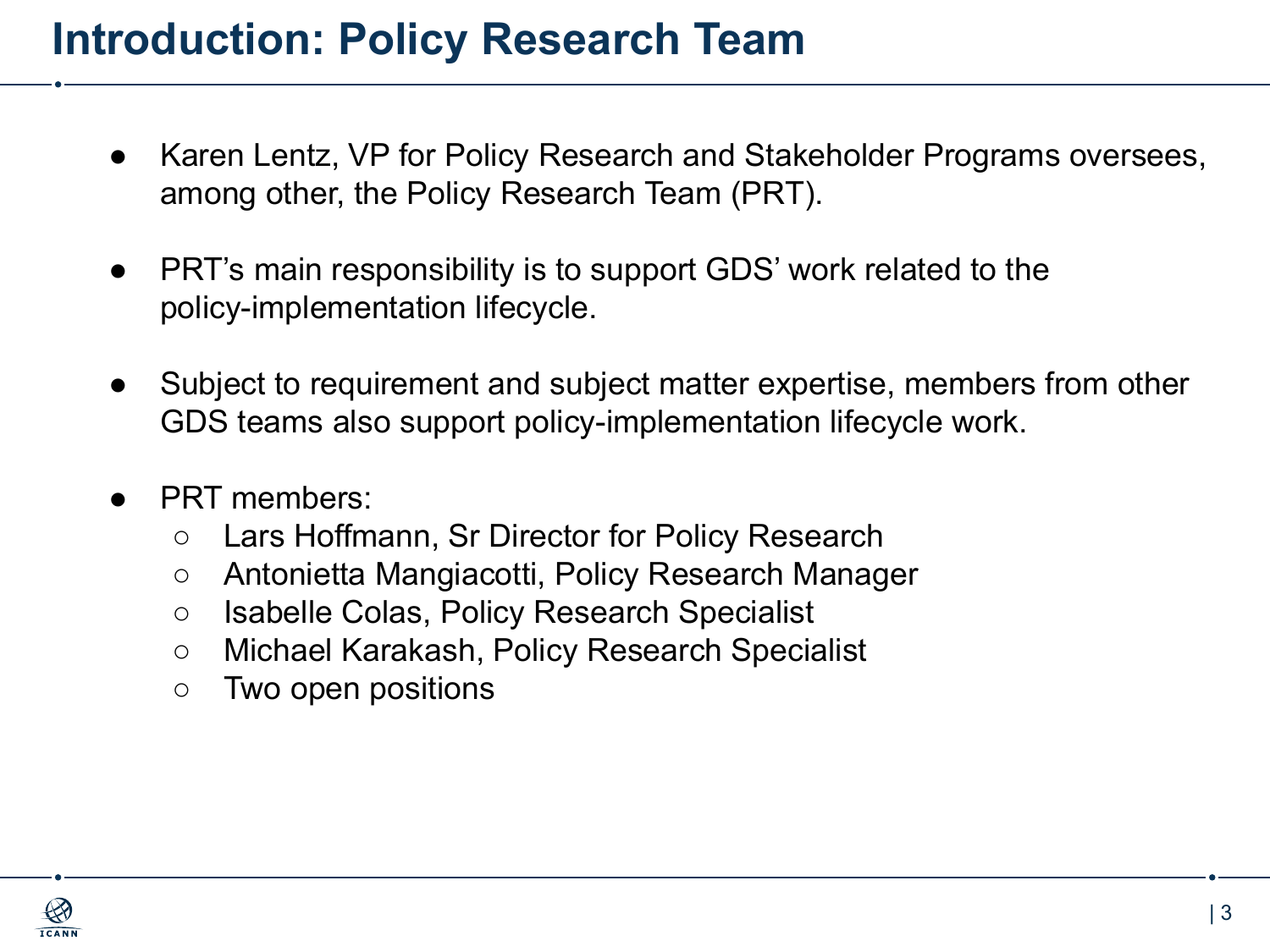#### **Introduction: Policy Research Team**

- Karen Lentz, VP for Policy Research and Stakeholder Programs oversees, among other, the Policy Research Team (PRT).
- PRT's main responsibility is to support GDS' work related to the policy-implementation lifecycle.
- Subject to requirement and subject matter expertise, members from other GDS teams also support policy-implementation lifecycle work.
- PRT members:
	- Lars Hoffmann, Sr Director for Policy Research
	- Antonietta Mangiacotti, Policy Research Manager
	- Isabelle Colas, Policy Research Specialist
	- Michael Karakash, Policy Research Specialist
	- Two open positions

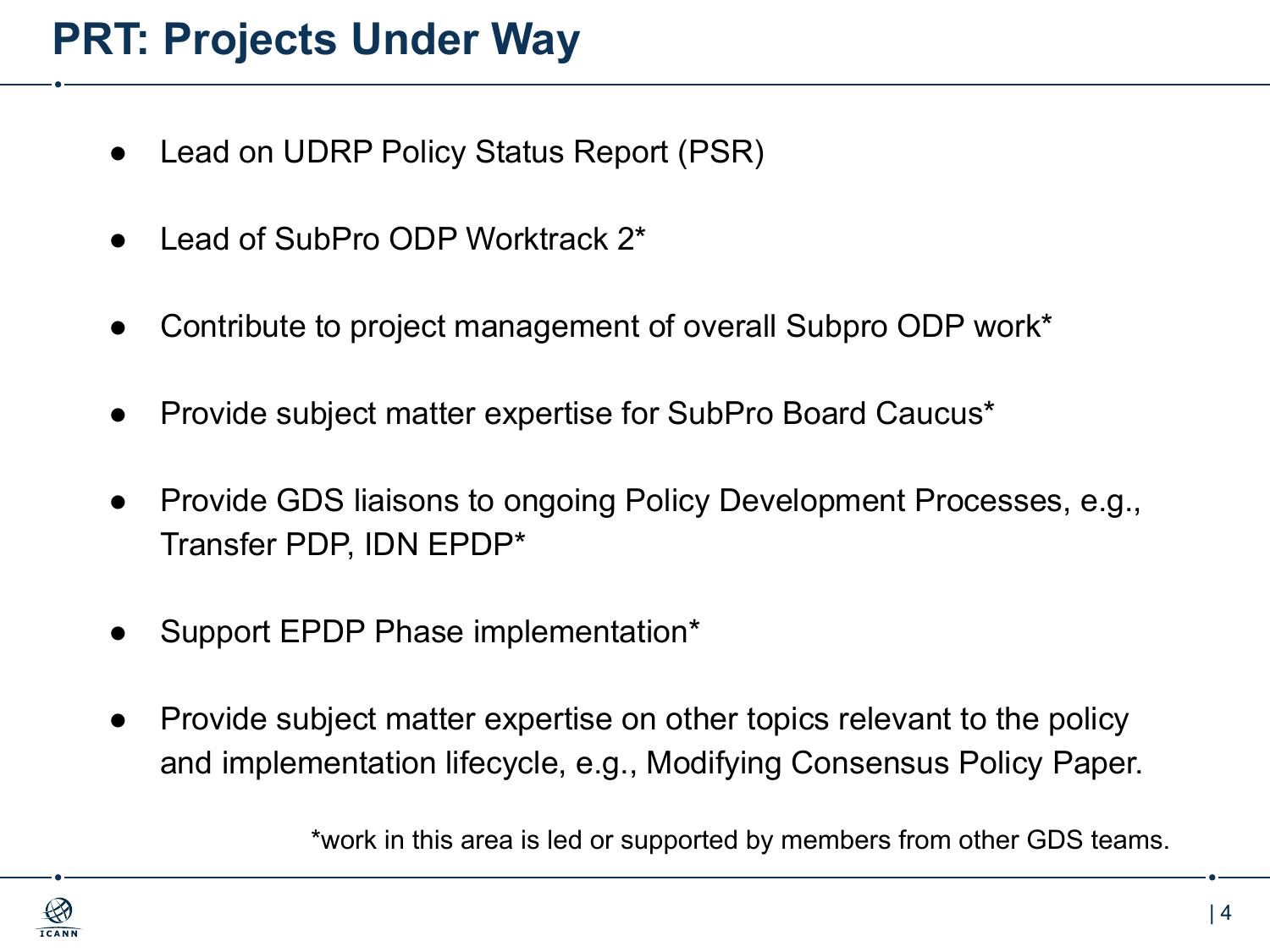## **PRT: Projects Under Way**

- Lead on UDRP Policy Status Report (PSR)
- Lead of SubPro ODP Worktrack 2<sup>\*</sup>
- Contribute to project management of overall Subpro ODP work\*
- Provide subject matter expertise for SubPro Board Caucus\*
- Provide GDS liaisons to ongoing Policy Development Processes, e.g., Transfer PDP, IDN EPDP\*
- Support EPDP Phase implementation\*
- Provide subject matter expertise on other topics relevant to the policy and implementation lifecycle, e.g., Modifying Consensus Policy Paper.

\*work in this area is led or supported by members from other GDS teams.

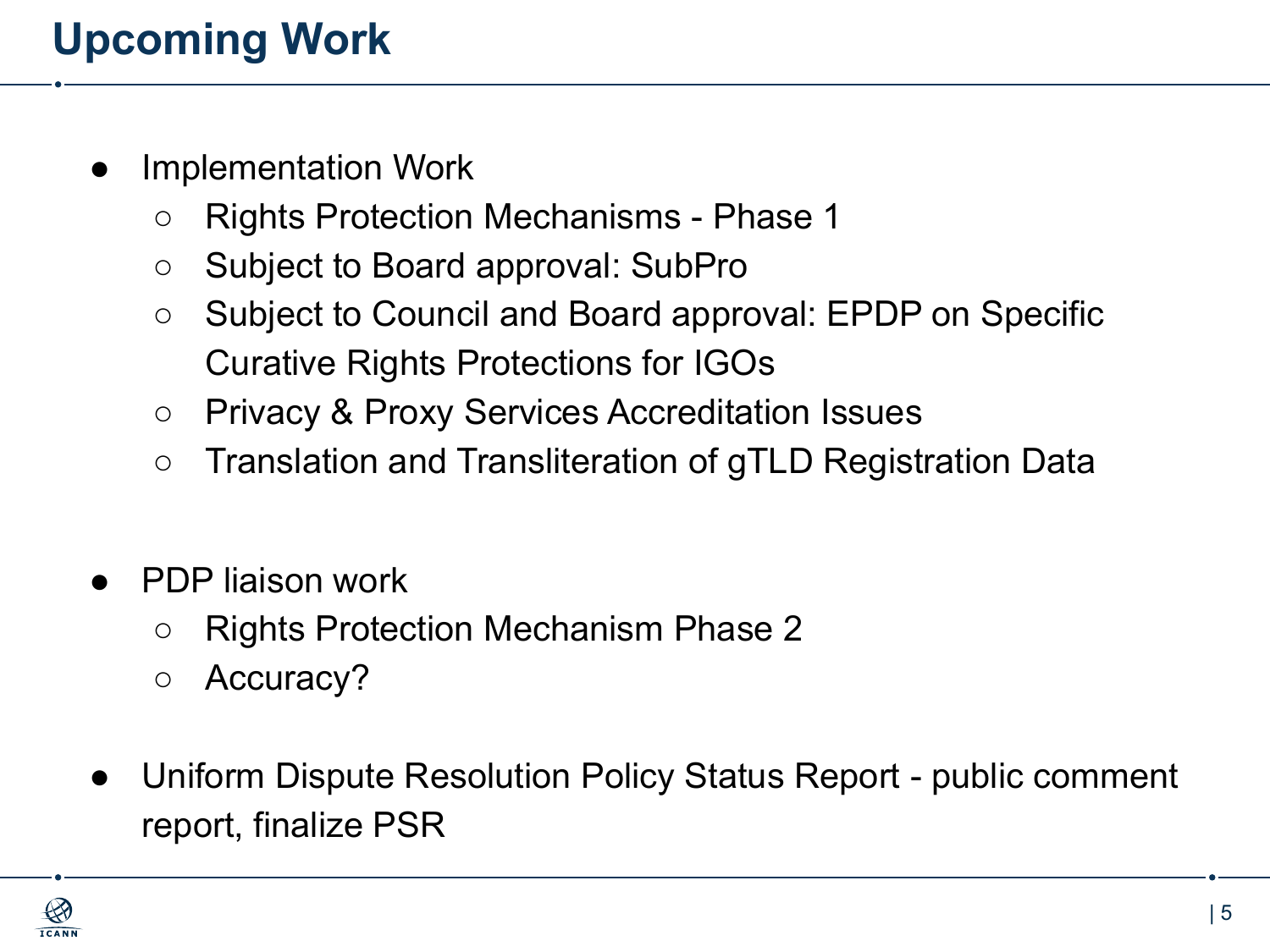# **Upcoming Work**

- **Implementation Work** 
	- Rights Protection Mechanisms Phase 1
	- Subject to Board approval: SubPro
	- Subject to Council and Board approval: EPDP on Specific Curative Rights Protections for IGOs
	- Privacy & Proxy Services Accreditation Issues
	- Translation and Transliteration of gTLD Registration Data
- PDP liaison work
	- Rights Protection Mechanism Phase 2
	- Accuracy?
- Uniform Dispute Resolution Policy Status Report public comment report, finalize PSR

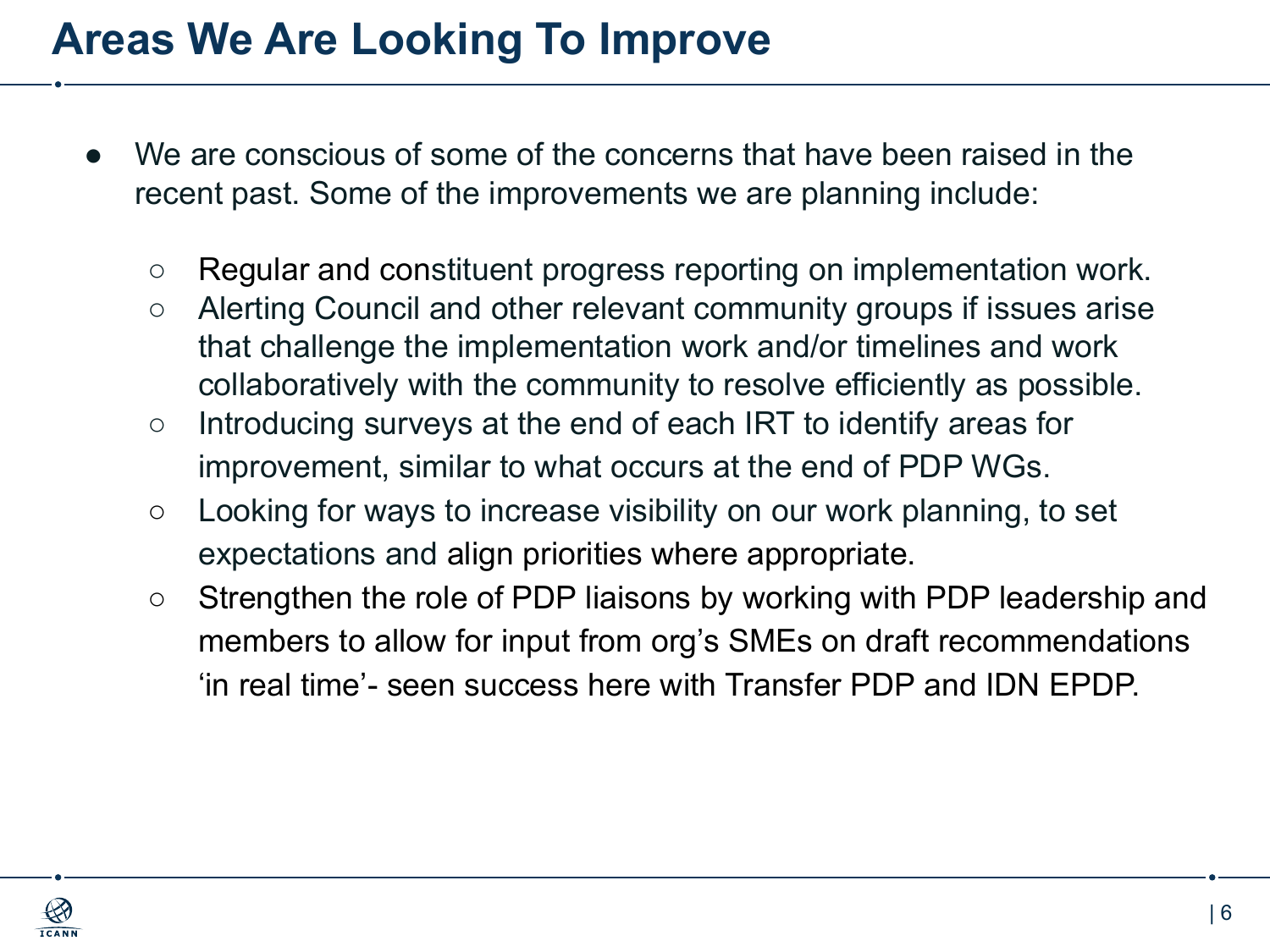#### **Areas We Are Looking To Improve**

- We are conscious of some of the concerns that have been raised in the recent past. Some of the improvements we are planning include:
	- Regular and constituent progress reporting on implementation work.
	- Alerting Council and other relevant community groups if issues arise that challenge the implementation work and/or timelines and work collaboratively with the community to resolve efficiently as possible.
	- Introducing surveys at the end of each IRT to identify areas for improvement, similar to what occurs at the end of PDP WGs.
	- $\circ$  Looking for ways to increase visibility on our work planning, to set expectations and align priorities where appropriate.
	- Strengthen the role of PDP liaisons by working with PDP leadership and members to allow for input from org's SMEs on draft recommendations 'in real time'- seen success here with Transfer PDP and IDN EPDP.